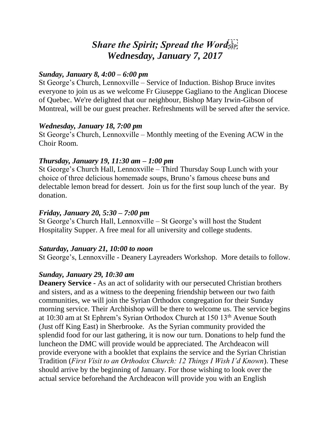# *Share the Spirit; Spread the Word Wednesday, January 7, 2017*

#### *Sunday, January 8, 4:00 – 6:00 pm*

St George's Church, Lennoxville – Service of Induction. Bishop Bruce invites everyone to join us as we welcome Fr Giuseppe Gagliano to the Anglican Diocese of Quebec. We're delighted that our neighbour, Bishop Mary Irwin-Gibson of Montreal, will be our guest preacher. Refreshments will be served after the service.

#### *Wednesday, January 18, 7:00 pm*

St George's Church, Lennoxville – Monthly meeting of the Evening ACW in the Choir Room.

# *Thursday, January 19, 11:30 am – 1:00 pm*

St George's Church Hall, Lennoxville – Third Thursday Soup Lunch with your choice of three delicious homemade soups, Bruno's famous cheese buns and delectable lemon bread for dessert. Join us for the first soup lunch of the year. By donation.

### *Friday, January 20, 5:30 – 7:00 pm*

St George's Church Hall, Lennoxville – St George's will host the Student Hospitality Supper. A free meal for all university and college students.

# *Saturday, January 21, 10:00 to noon*

St George's, Lennoxville - Deanery Layreaders Workshop. More details to follow.

# *Sunday, January 29, 10:30 am*

**Deanery Service -** As an act of solidarity with our persecuted Christian brothers and sisters, and as a witness to the deepening friendship between our two faith communities, we will join the Syrian Orthodox congregation for their Sunday morning service. Their Archbishop will be there to welcome us. The service begins at 10:30 am at St Ephrem's Syrian Orthodox Church at 150 13th Avenue South (Just off King East) in Sherbrooke. As the Syrian community provided the splendid food for our last gathering, it is now our turn. Donations to help fund the luncheon the DMC will provide would be appreciated. The Archdeacon will provide everyone with a booklet that explains the service and the Syrian Christian Tradition (*First Visit to an Orthodox Church: 12 Things I Wish I'd Known*). These should arrive by the beginning of January. For those wishing to look over the actual service beforehand the Archdeacon will provide you with an English